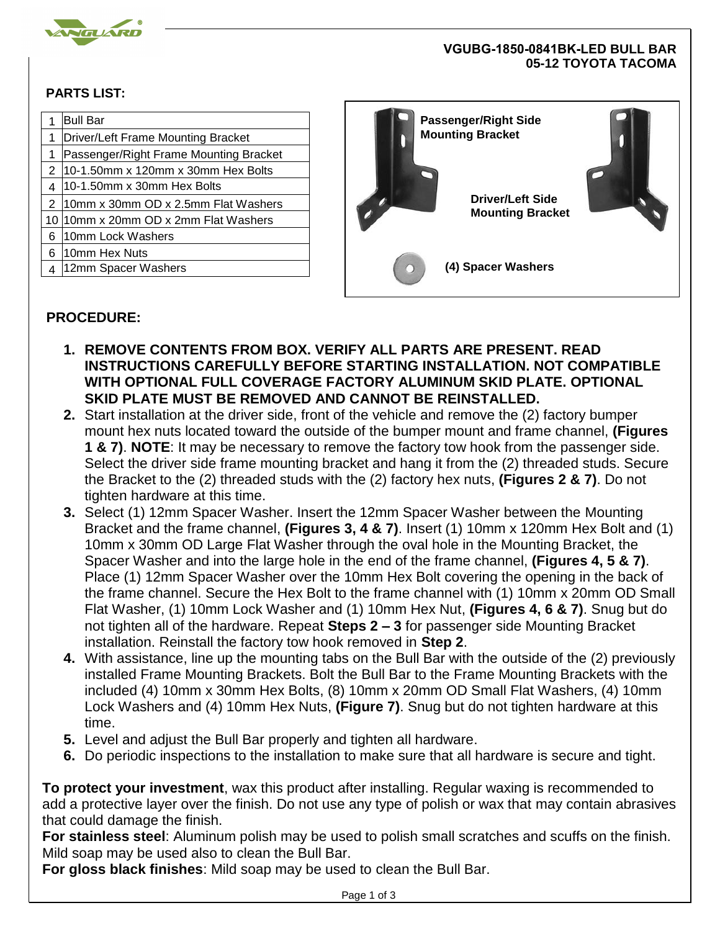

## **VGUBG-1850-0841BK-LED BULL BAR 05-12 TOYOTA TACOMA**

## **PARTS LIST:**

|   | <b>Bull Bar</b><br>Driver/Left Frame Mounting Bracket | <b>Passenger/Right Side</b><br><b>Mounting Bracket</b><br><b>Driver/Left Side</b> |  |
|---|-------------------------------------------------------|-----------------------------------------------------------------------------------|--|
|   | Passenger/Right Frame Mounting Bracket                |                                                                                   |  |
|   | $10-1.50$ mm x 120mm x 30mm Hex Bolts                 |                                                                                   |  |
|   | $10-1.50$ mm x 30mm Hex Bolts                         |                                                                                   |  |
|   | 10mm x 30mm OD x 2.5mm Flat Washers                   |                                                                                   |  |
|   | 10 10 mm x 20 mm OD x 2 mm Flat Washers               | <b>Mounting Bracket</b>                                                           |  |
| 6 | 10mm Lock Washers                                     |                                                                                   |  |
| 6 | 10mm Hex Nuts                                         |                                                                                   |  |
|   | 12mm Spacer Washers                                   | (4) Spacer Washers                                                                |  |
|   |                                                       |                                                                                   |  |

## **PROCEDURE:**

- **1. REMOVE CONTENTS FROM BOX. VERIFY ALL PARTS ARE PRESENT. READ INSTRUCTIONS CAREFULLY BEFORE STARTING INSTALLATION. NOT COMPATIBLE WITH OPTIONAL FULL COVERAGE FACTORY ALUMINUM SKID PLATE. OPTIONAL SKID PLATE MUST BE REMOVED AND CANNOT BE REINSTALLED.**
- **2.** Start installation at the driver side, front of the vehicle and remove the (2) factory bumper mount hex nuts located toward the outside of the bumper mount and frame channel, **(Figures 1 & 7)**. **NOTE**: It may be necessary to remove the factory tow hook from the passenger side. Select the driver side frame mounting bracket and hang it from the (2) threaded studs. Secure the Bracket to the (2) threaded studs with the (2) factory hex nuts, **(Figures 2 & 7)**. Do not tighten hardware at this time.
- **3.** Select (1) 12mm Spacer Washer. Insert the 12mm Spacer Washer between the Mounting Bracket and the frame channel, **(Figures 3, 4 & 7)**. Insert (1) 10mm x 120mm Hex Bolt and (1) 10mm x 30mm OD Large Flat Washer through the oval hole in the Mounting Bracket, the Spacer Washer and into the large hole in the end of the frame channel, **(Figures 4, 5 & 7)**. Place (1) 12mm Spacer Washer over the 10mm Hex Bolt covering the opening in the back of the frame channel. Secure the Hex Bolt to the frame channel with (1) 10mm x 20mm OD Small Flat Washer, (1) 10mm Lock Washer and (1) 10mm Hex Nut, **(Figures 4, 6 & 7)**. Snug but do not tighten all of the hardware. Repeat **Steps 2 – 3** for passenger side Mounting Bracket installation. Reinstall the factory tow hook removed in **Step 2**.
- **4.** With assistance, line up the mounting tabs on the Bull Bar with the outside of the (2) previously installed Frame Mounting Brackets. Bolt the Bull Bar to the Frame Mounting Brackets with the included (4) 10mm x 30mm Hex Bolts, (8) 10mm x 20mm OD Small Flat Washers, (4) 10mm Lock Washers and (4) 10mm Hex Nuts, **(Figure 7)**. Snug but do not tighten hardware at this time.
- **5.** Level and adjust the Bull Bar properly and tighten all hardware.
- **6.** Do periodic inspections to the installation to make sure that all hardware is secure and tight.

**To protect your investment**, wax this product after installing. Regular waxing is recommended to add a protective layer over the finish. Do not use any type of polish or wax that may contain abrasives that could damage the finish.

**For stainless steel**: Aluminum polish may be used to polish small scratches and scuffs on the finish. Mild soap may be used also to clean the Bull Bar.

**For gloss black finishes**: Mild soap may be used to clean the Bull Bar.

Page 1 of 3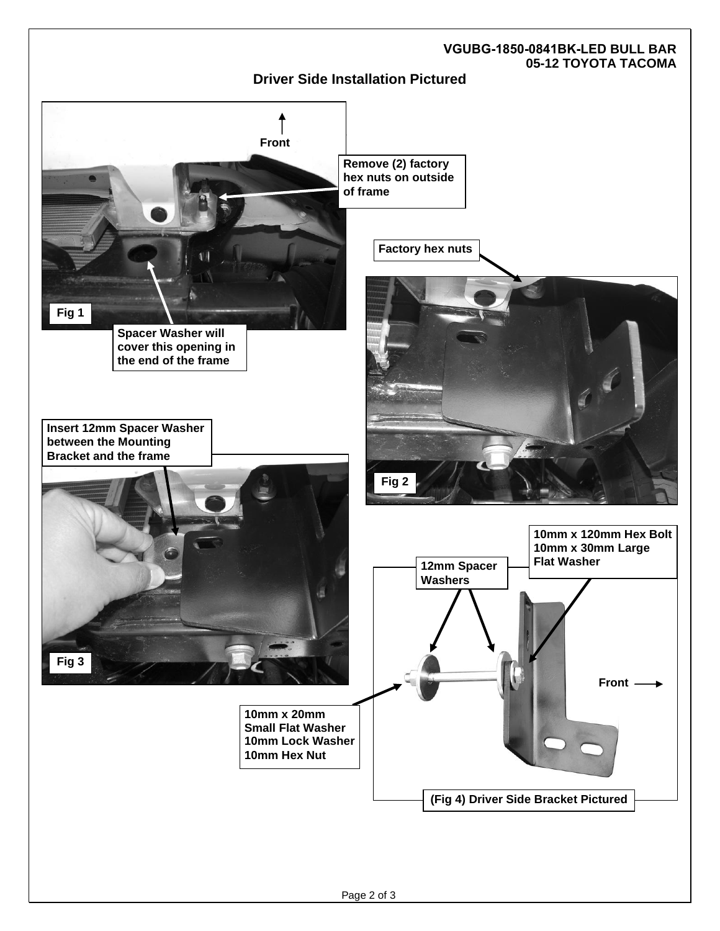